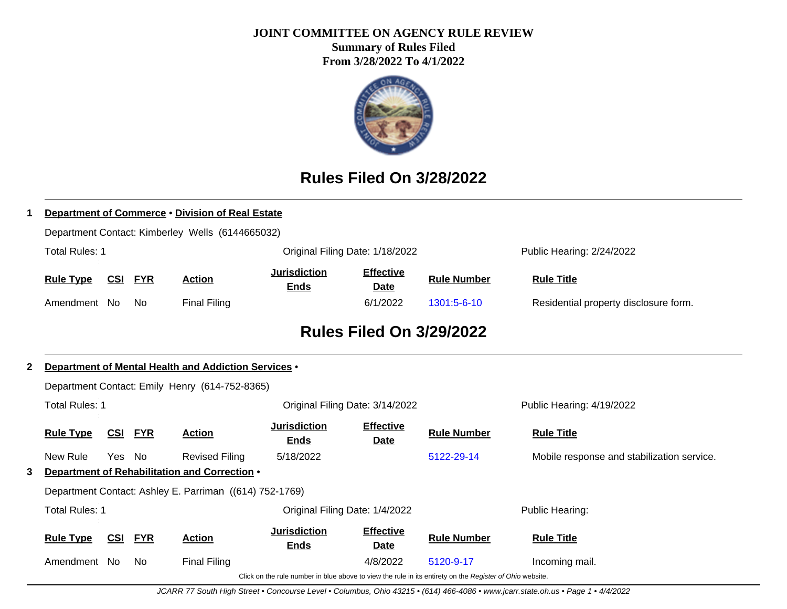#### **JOINT COMMITTEE ON AGENCY RULE REVIEW**

**Summary of Rules Filed From 3/28/2022 To 4/1/2022**



# **Rules Filed On 3/28/2022**

|              |                                                      |            |            | Department of Commerce . Division of Real Estate        |                                    |                                 |                                                                                                          |                                            |  |  |
|--------------|------------------------------------------------------|------------|------------|---------------------------------------------------------|------------------------------------|---------------------------------|----------------------------------------------------------------------------------------------------------|--------------------------------------------|--|--|
|              |                                                      |            |            | Department Contact: Kimberley Wells (6144665032)        |                                    |                                 |                                                                                                          |                                            |  |  |
|              | <b>Total Rules: 1</b>                                |            |            |                                                         |                                    | Original Filing Date: 1/18/2022 |                                                                                                          | Public Hearing: 2/24/2022                  |  |  |
|              | <b>Rule Type</b>                                     | <u>CSI</u> | <u>FYR</u> | <b>Action</b>                                           | <b>Jurisdiction</b><br><b>Ends</b> | <b>Effective</b><br>Date        | <b>Rule Number</b>                                                                                       | <b>Rule Title</b>                          |  |  |
|              | Amendment No                                         |            | No.        | <b>Final Filing</b>                                     |                                    | 6/1/2022                        | 1301:5-6-10                                                                                              | Residential property disclosure form.      |  |  |
|              | <b>Rules Filed On 3/29/2022</b>                      |            |            |                                                         |                                    |                                 |                                                                                                          |                                            |  |  |
| $\mathbf{2}$ | Department of Mental Health and Addiction Services . |            |            |                                                         |                                    |                                 |                                                                                                          |                                            |  |  |
|              | Department Contact: Emily Henry (614-752-8365)       |            |            |                                                         |                                    |                                 |                                                                                                          |                                            |  |  |
|              | <b>Total Rules: 1</b>                                |            |            |                                                         | Original Filing Date: 3/14/2022    |                                 |                                                                                                          | Public Hearing: 4/19/2022                  |  |  |
|              | <b>Rule Type</b>                                     | CSI        | <b>FYR</b> | <b>Action</b>                                           | <b>Jurisdiction</b><br><b>Ends</b> | <b>Effective</b><br><b>Date</b> | <b>Rule Number</b>                                                                                       | <b>Rule Title</b>                          |  |  |
|              | New Rule                                             | Yes No     |            | <b>Revised Filing</b>                                   | 5/18/2022                          |                                 | 5122-29-14                                                                                               | Mobile response and stabilization service. |  |  |
| 3.           |                                                      |            |            | Department of Rehabilitation and Correction .           |                                    |                                 |                                                                                                          |                                            |  |  |
|              |                                                      |            |            | Department Contact: Ashley E. Parriman ((614) 752-1769) |                                    |                                 |                                                                                                          |                                            |  |  |
|              | <b>Total Rules: 1</b>                                |            |            |                                                         |                                    | Original Filing Date: 1/4/2022  |                                                                                                          | Public Hearing:                            |  |  |
|              | <b>Rule Type</b>                                     | <b>CSI</b> | <b>FYR</b> | <b>Action</b>                                           | <b>Jurisdiction</b><br><b>Ends</b> | <b>Effective</b><br>Date        | <b>Rule Number</b>                                                                                       | <b>Rule Title</b>                          |  |  |
|              | Amendment No                                         |            | No.        | <b>Final Filing</b>                                     |                                    | 4/8/2022                        | 5120-9-17                                                                                                | Incoming mail.                             |  |  |
|              |                                                      |            |            |                                                         |                                    |                                 | Click on the rule number in blue above to view the rule in its entirety on the Register of Ohio website. |                                            |  |  |

JCARR 77 South High Street • Concourse Level • Columbus, Ohio 43215 • (614) 466-4086 • www.jcarr.state.oh.us • Page 1 • 4/4/2022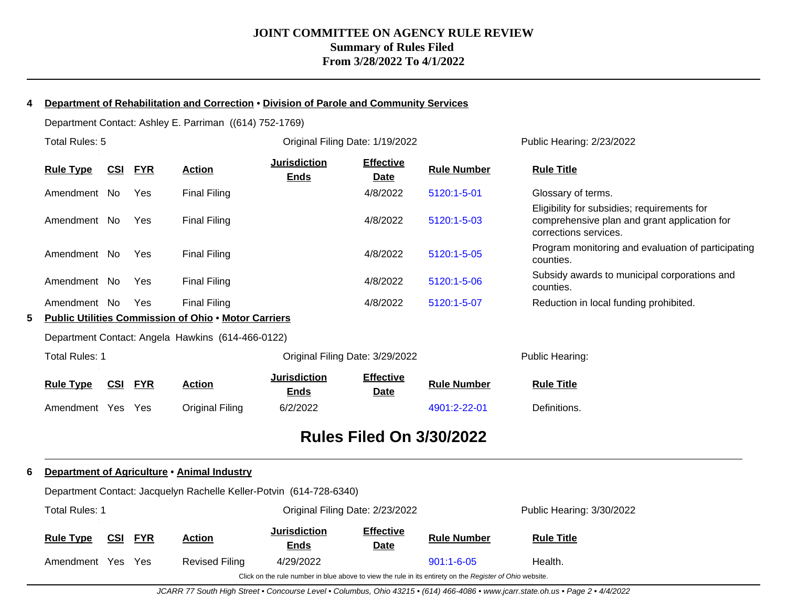#### **4 Department of Rehabilitation and Correction** • **Division of Parole and Community Services**

Department Contact: Ashley E. Parriman ((614) 752-1769)

|   | Total Rules: 5                  |            |            |                                                             | Original Filing Date: 1/19/2022    |                                 |                    | Public Hearing: 2/23/2022                                                                                            |  |  |  |
|---|---------------------------------|------------|------------|-------------------------------------------------------------|------------------------------------|---------------------------------|--------------------|----------------------------------------------------------------------------------------------------------------------|--|--|--|
|   | <b>Rule Type</b>                | <u>CSI</u> | <b>FYR</b> | <b>Action</b>                                               | <b>Jurisdiction</b><br><b>Ends</b> | <b>Effective</b><br><b>Date</b> | <b>Rule Number</b> | <b>Rule Title</b>                                                                                                    |  |  |  |
|   | Amendment No                    |            | Yes        | <b>Final Filing</b>                                         |                                    | 4/8/2022                        | 5120:1-5-01        | Glossary of terms.                                                                                                   |  |  |  |
|   | Amendment No                    |            | Yes        | Final Filing                                                |                                    | 4/8/2022                        | 5120:1-5-03        | Eligibility for subsidies; requirements for<br>comprehensive plan and grant application for<br>corrections services. |  |  |  |
|   | Amendment No                    |            | Yes        | <b>Final Filing</b>                                         |                                    | 4/8/2022                        | 5120:1-5-05        | Program monitoring and evaluation of participating<br>counties.                                                      |  |  |  |
|   | Amendment No                    |            | Yes        | <b>Final Filing</b>                                         |                                    | 4/8/2022                        | 5120:1-5-06        | Subsidy awards to municipal corporations and<br>counties.                                                            |  |  |  |
|   | Amendment No                    |            | Yes        | Final Filing                                                |                                    | 4/8/2022                        | 5120:1-5-07        | Reduction in local funding prohibited.                                                                               |  |  |  |
| 5 |                                 |            |            | <b>Public Utilities Commission of Ohio . Motor Carriers</b> |                                    |                                 |                    |                                                                                                                      |  |  |  |
|   |                                 |            |            | Department Contact: Angela Hawkins (614-466-0122)           |                                    |                                 |                    |                                                                                                                      |  |  |  |
|   | <b>Total Rules: 1</b>           |            |            |                                                             |                                    | Original Filing Date: 3/29/2022 |                    | Public Hearing:                                                                                                      |  |  |  |
|   | <b>Rule Type</b>                | <u>CSI</u> | <b>FYR</b> | <b>Action</b>                                               | <b>Jurisdiction</b><br><u>Ends</u> | <b>Effective</b><br><b>Date</b> | <b>Rule Number</b> | <b>Rule Title</b>                                                                                                    |  |  |  |
|   | Amendment Yes                   |            | Yes        | <b>Original Filing</b>                                      | 6/2/2022                           |                                 | 4901:2-22-01       | Definitions.                                                                                                         |  |  |  |
|   | <b>Rules Filed On 3/30/2022</b> |            |            |                                                             |                                    |                                 |                    |                                                                                                                      |  |  |  |

# **6 Department of Agriculture** • **Animal Industry**

| Department Contact: Jacquelyn Rachelle Keller-Potvin (614-728-6340) |  |  |
|---------------------------------------------------------------------|--|--|

| Total Rules: 1                                                                                           |     |            |                | Original Filing Date: 2/23/2022    |                                 |                    | Public Hearing: 3/30/2022 |
|----------------------------------------------------------------------------------------------------------|-----|------------|----------------|------------------------------------|---------------------------------|--------------------|---------------------------|
| <b>Rule Type</b>                                                                                         | CSI | <b>FYR</b> | <b>Action</b>  | <b>Jurisdiction</b><br><u>Ends</u> | <b>Effective</b><br><u>Date</u> | <b>Rule Number</b> | <b>Rule Title</b>         |
| Amendment                                                                                                | Yes | Yes        | Revised Filing | 4/29/2022                          |                                 | $901:1 - 6 - 05$   | Health.                   |
| Click on the rule number in blue above to view the rule in its entirety on the Register of Ohio website. |     |            |                |                                    |                                 |                    |                           |

JCARR 77 South High Street • Concourse Level • Columbus, Ohio 43215 • (614) 466-4086 • www.jcarr.state.oh.us • Page 2 • 4/4/2022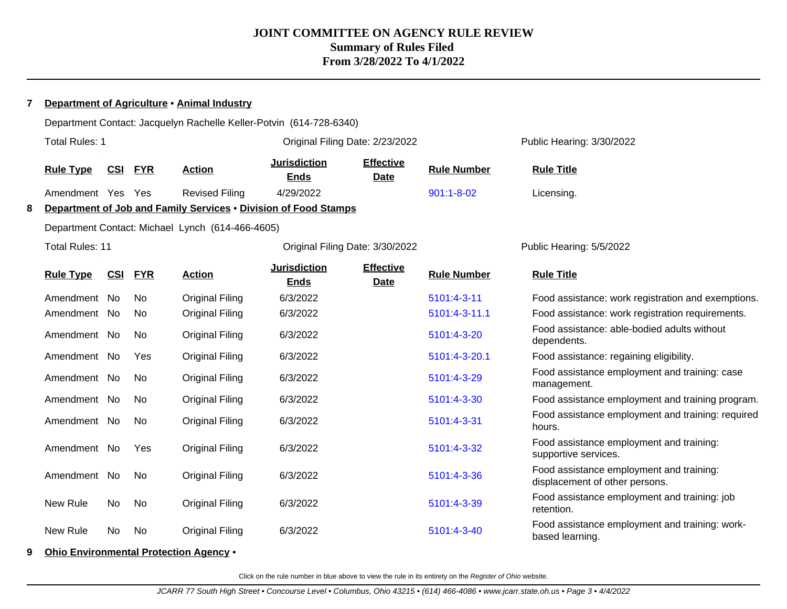#### **7 Department of Agriculture** • **Animal Industry**

|                                                                      | Department Contact: Jacquelyn Rachelle Keller-Potvin (614-728-6340) |     |            |                        |                                    |                                 |                    |                                                                            |  |  |  |
|----------------------------------------------------------------------|---------------------------------------------------------------------|-----|------------|------------------------|------------------------------------|---------------------------------|--------------------|----------------------------------------------------------------------------|--|--|--|
|                                                                      | <b>Total Rules: 1</b>                                               |     |            |                        | Original Filing Date: 2/23/2022    |                                 |                    | Public Hearing: 3/30/2022                                                  |  |  |  |
|                                                                      | <b>Rule Type</b>                                                    | CSI | <b>FYR</b> | <b>Action</b>          | <b>Jurisdiction</b><br><b>Ends</b> | <b>Effective</b><br><b>Date</b> | <b>Rule Number</b> | <b>Rule Title</b>                                                          |  |  |  |
|                                                                      | Amendment Yes Yes                                                   |     |            | <b>Revised Filing</b>  | 4/29/2022                          |                                 | $901:1 - 8 - 02$   | Licensing.                                                                 |  |  |  |
| Department of Job and Family Services . Division of Food Stamps<br>8 |                                                                     |     |            |                        |                                    |                                 |                    |                                                                            |  |  |  |
| Department Contact: Michael Lynch (614-466-4605)                     |                                                                     |     |            |                        |                                    |                                 |                    |                                                                            |  |  |  |
|                                                                      | <b>Total Rules: 11</b>                                              |     |            |                        | Original Filing Date: 3/30/2022    |                                 |                    | Public Hearing: 5/5/2022                                                   |  |  |  |
|                                                                      | <b>Rule Type</b>                                                    | CSI | <b>FYR</b> | <b>Action</b>          | <b>Jurisdiction</b><br><b>Ends</b> | <b>Effective</b><br><b>Date</b> | <b>Rule Number</b> | <b>Rule Title</b>                                                          |  |  |  |
|                                                                      | Amendment No                                                        |     | No         | <b>Original Filing</b> | 6/3/2022                           |                                 | 5101:4-3-11        | Food assistance: work registration and exemptions.                         |  |  |  |
|                                                                      | Amendment No                                                        |     | No.        | <b>Original Filing</b> | 6/3/2022                           |                                 | 5101:4-3-11.1      | Food assistance: work registration requirements.                           |  |  |  |
|                                                                      | Amendment No                                                        |     | No.        | <b>Original Filing</b> | 6/3/2022                           |                                 | 5101:4-3-20        | Food assistance: able-bodied adults without<br>dependents.                 |  |  |  |
|                                                                      | Amendment No                                                        |     | Yes        | <b>Original Filing</b> | 6/3/2022                           |                                 | 5101:4-3-20.1      | Food assistance: regaining eligibility.                                    |  |  |  |
|                                                                      | Amendment No                                                        |     | No.        | <b>Original Filing</b> | 6/3/2022                           |                                 | 5101:4-3-29        | Food assistance employment and training: case<br>management.               |  |  |  |
|                                                                      | Amendment No                                                        |     | No         | <b>Original Filing</b> | 6/3/2022                           |                                 | 5101:4-3-30        | Food assistance employment and training program.                           |  |  |  |
|                                                                      | Amendment No                                                        |     | No         | <b>Original Filing</b> | 6/3/2022                           |                                 | 5101:4-3-31        | Food assistance employment and training: required<br>hours.                |  |  |  |
|                                                                      | Amendment No                                                        |     | Yes        | <b>Original Filing</b> | 6/3/2022                           |                                 | 5101:4-3-32        | Food assistance employment and training:<br>supportive services.           |  |  |  |
|                                                                      | Amendment No                                                        |     | No.        | <b>Original Filing</b> | 6/3/2022                           |                                 | 5101:4-3-36        | Food assistance employment and training:<br>displacement of other persons. |  |  |  |
|                                                                      | New Rule                                                            | No  | No         | <b>Original Filing</b> | 6/3/2022                           |                                 | 5101:4-3-39        | Food assistance employment and training: job<br>retention.                 |  |  |  |
|                                                                      | New Rule                                                            | No  | No         | <b>Original Filing</b> | 6/3/2022                           |                                 | 5101:4-3-40        | Food assistance employment and training: work-<br>based learning.          |  |  |  |
|                                                                      |                                                                     |     |            |                        |                                    |                                 |                    |                                                                            |  |  |  |

**9 Ohio Environmental Protection Agency** •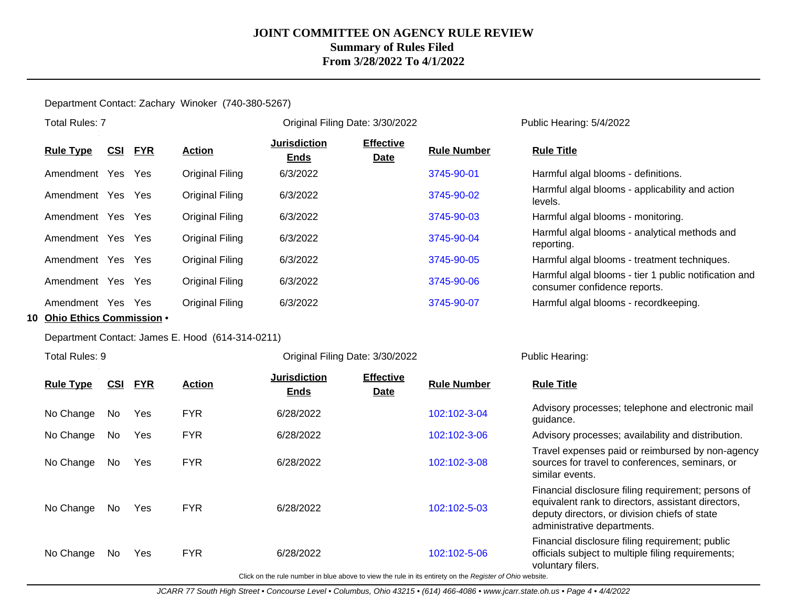#### Department Contact: Zachary Winoker (740-380-5267)

|                             | <b>Total Rules: 7</b>                            |            |            |                 | Original Filing Date: 3/30/2022    |                                 |                    | Public Hearing: 5/4/2022                                                              |  |  |
|-----------------------------|--------------------------------------------------|------------|------------|-----------------|------------------------------------|---------------------------------|--------------------|---------------------------------------------------------------------------------------|--|--|
|                             | <b>Rule Type</b>                                 | <u>CSI</u> | <b>FYR</b> | <b>Action</b>   | <b>Jurisdiction</b><br><b>Ends</b> | <b>Effective</b><br><b>Date</b> | <b>Rule Number</b> | <b>Rule Title</b>                                                                     |  |  |
|                             | Amendment Yes Yes                                |            |            | Original Filing | 6/3/2022                           |                                 | 3745-90-01         | Harmful algal blooms - definitions.                                                   |  |  |
|                             | Amendment Yes Yes                                |            |            | Original Filing | 6/3/2022                           |                                 | 3745-90-02         | Harmful algal blooms - applicability and action<br>levels.                            |  |  |
|                             | Amendment Yes Yes                                |            |            | Original Filing | 6/3/2022                           |                                 | 3745-90-03         | Harmful algal blooms - monitoring.                                                    |  |  |
|                             | Amendment Yes Yes                                |            |            | Original Filing | 6/3/2022                           |                                 | 3745-90-04         | Harmful algal blooms - analytical methods and<br>reporting.                           |  |  |
|                             | Amendment Yes Yes                                |            |            | Original Filing | 6/3/2022                           |                                 | 3745-90-05         | Harmful algal blooms - treatment techniques.                                          |  |  |
|                             | Amendment Yes Yes                                |            |            | Original Filing | 6/3/2022                           |                                 | 3745-90-06         | Harmful algal blooms - tier 1 public notification and<br>consumer confidence reports. |  |  |
|                             | Amendment Yes Yes                                |            |            | Original Filing | 6/3/2022                           |                                 | 3745-90-07         | Harmful algal blooms - recordkeeping.                                                 |  |  |
| 10 Ohio Ethics Commission . |                                                  |            |            |                 |                                    |                                 |                    |                                                                                       |  |  |
|                             | Department Contact: James E. Hood (614-314-0211) |            |            |                 |                                    |                                 |                    |                                                                                       |  |  |

Total Rules: 9

Original Filing Date: 3/30/2022 Public Hearing:

| <b>Rule Type</b> | <u>CSI</u> | <b>FYR</b> | <b>Action</b> | <b>Jurisdiction</b><br><b>Ends</b> | <b>Effective</b><br><b>Date</b> | <b>Rule Number</b> | <b>Rule Title</b>                                                                                                                                                                         |
|------------------|------------|------------|---------------|------------------------------------|---------------------------------|--------------------|-------------------------------------------------------------------------------------------------------------------------------------------------------------------------------------------|
| No Change        | No.        | Yes        | <b>FYR</b>    | 6/28/2022                          |                                 | 102:102-3-04       | Advisory processes; telephone and electronic mail<br>guidance.                                                                                                                            |
| No Change        | No.        | Yes        | <b>FYR</b>    | 6/28/2022                          |                                 | 102:102-3-06       | Advisory processes; availability and distribution.                                                                                                                                        |
| No Change        | No.        | Yes        | <b>FYR</b>    | 6/28/2022                          |                                 | 102:102-3-08       | Travel expenses paid or reimbursed by non-agency<br>sources for travel to conferences, seminars, or<br>similar events.                                                                    |
| No Change        | No.        | Yes        | <b>FYR</b>    | 6/28/2022                          |                                 | 102:102-5-03       | Financial disclosure filing requirement; persons of<br>equivalent rank to directors, assistant directors,<br>deputy directors, or division chiefs of state<br>administrative departments. |
| No Change        | No.        | Yes        | <b>FYR</b>    | 6/28/2022                          |                                 | 102:102-5-06       | Financial disclosure filing requirement; public<br>officials subject to multiple filing requirements;<br>voluntary filers.                                                                |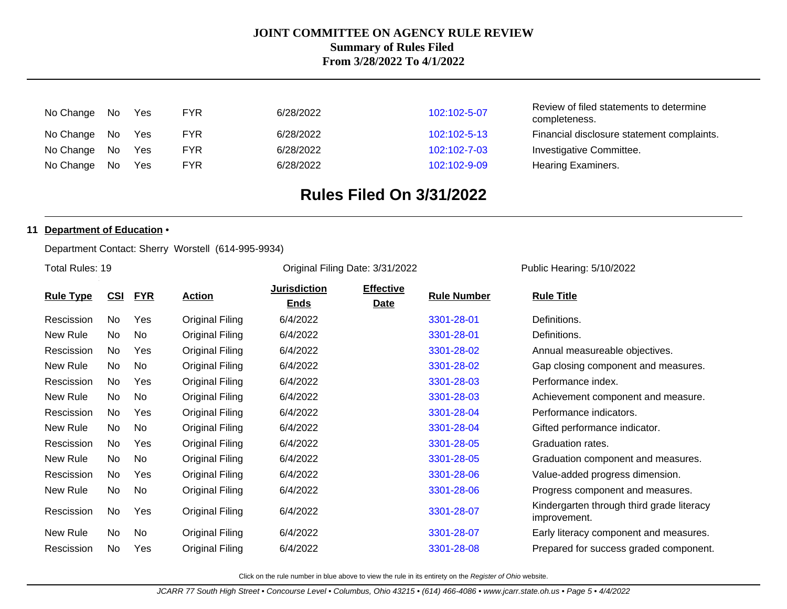| No Change No |     | <b>Yes</b> | FYR | 6/28/2022 | 102:102-5-07 | Review of filed statements to determine<br>completeness. |
|--------------|-----|------------|-----|-----------|--------------|----------------------------------------------------------|
| No Change No |     | Yes        | FYR | 6/28/2022 | 102:102-5-13 | Financial disclosure statement complaints.               |
| No Change No |     | Yes        | FYR | 6/28/2022 | 102:102-7-03 | Investigative Committee.                                 |
| No Change    | No. | Yes        | FYR | 6/28/2022 | 102:102-9-09 | Hearing Examiners.                                       |

# **Rules Filed On 3/31/2022**

#### **11 Department of Education** •

Department Contact: Sherry Worstell (614-995-9934)

Total Rules: 19

Original Filing Date: 3/31/2022 Public Hearing: 5/10/2022

|                  | <u>CSI</u> | <b>FYR</b> | <u>Action</u>          | <b>Jurisdiction</b> | <b>Effective</b> | <b>Rule Number</b> | <b>Rule Title</b>                                         |  |
|------------------|------------|------------|------------------------|---------------------|------------------|--------------------|-----------------------------------------------------------|--|
| <b>Rule Type</b> |            |            |                        | <b>Ends</b>         | <b>Date</b>      |                    |                                                           |  |
| Rescission       | No         | Yes        | Original Filing        | 6/4/2022            |                  | 3301-28-01         | Definitions.                                              |  |
| New Rule         | No.        | No.        | Original Filing        | 6/4/2022            |                  | 3301-28-01         | Definitions.                                              |  |
| Rescission       | No         | Yes        | Original Filing        | 6/4/2022            |                  | 3301-28-02         | Annual measureable objectives.                            |  |
| New Rule         | No         | No         | Original Filing        | 6/4/2022            |                  | 3301-28-02         | Gap closing component and measures.                       |  |
| Rescission       | No         | Yes        | <b>Original Filing</b> | 6/4/2022            |                  | 3301-28-03         | Performance index.                                        |  |
| New Rule         | No         | No         | Original Filing        | 6/4/2022            |                  | 3301-28-03         | Achievement component and measure.                        |  |
| Rescission       | No         | Yes        | Original Filing        | 6/4/2022            |                  | 3301-28-04         | Performance indicators.                                   |  |
| New Rule         | No         | No         | Original Filing        | 6/4/2022            |                  | 3301-28-04         | Gifted performance indicator.                             |  |
| Rescission       | No         | Yes        | Original Filing        | 6/4/2022            |                  | 3301-28-05         | Graduation rates.                                         |  |
| New Rule         | No         | No         | Original Filing        | 6/4/2022            |                  | 3301-28-05         | Graduation component and measures.                        |  |
| Rescission       | No         | Yes        | Original Filing        | 6/4/2022            |                  | 3301-28-06         | Value-added progress dimension.                           |  |
| New Rule         | No         | No         | Original Filing        | 6/4/2022            |                  | 3301-28-06         | Progress component and measures.                          |  |
| Rescission       | No         | Yes        | Original Filing        | 6/4/2022            |                  | 3301-28-07         | Kindergarten through third grade literacy<br>improvement. |  |
| New Rule         | No.        | No         | Original Filing        | 6/4/2022            |                  | 3301-28-07         | Early literacy component and measures.                    |  |
| Rescission       | No         | Yes        | Original Filing        | 6/4/2022            |                  | 3301-28-08         | Prepared for success graded component.                    |  |
|                  |            |            |                        |                     |                  |                    |                                                           |  |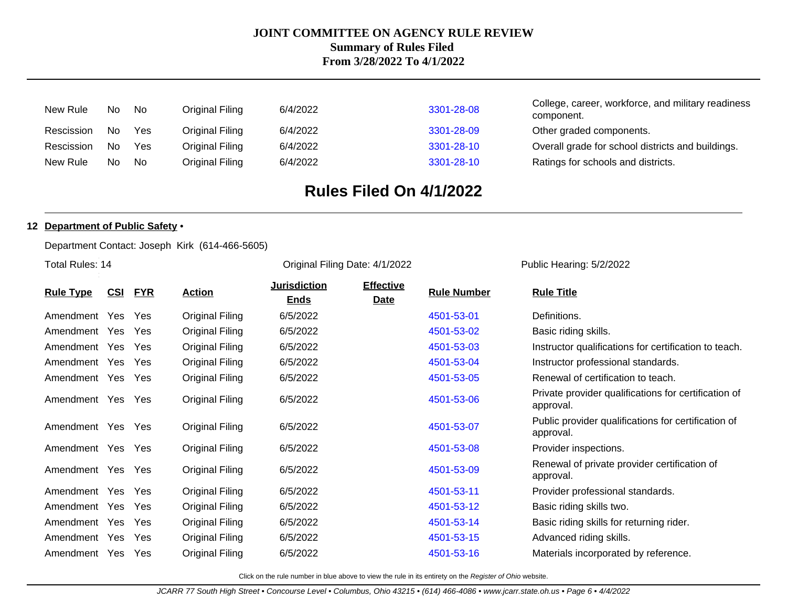| New Rule   | No.            | No. | Original Filing | 6/4/2022 | 3301-28-08 | College, career, workforce, and military readiness<br>component. |
|------------|----------------|-----|-----------------|----------|------------|------------------------------------------------------------------|
| Rescission | N <sub>0</sub> | Yes | Original Filing | 6/4/2022 | 3301-28-09 | Other graded components.                                         |
| Rescission | No.            | Yes | Original Filing | 6/4/2022 | 3301-28-10 | Overall grade for school districts and buildings.                |
| New Rule   | No.            | No. | Original Filing | 6/4/2022 | 3301-28-10 | Ratings for schools and districts.                               |

# **Rules Filed On 4/1/2022**

Original Filing Date: 4/1/2022 Public Hearing: 5/2/2022

#### **12 Department of Public Safety** •

Department Contact: Joseph Kirk (614-466-5605)

Total Rules: 14

| <b>Rule Type</b> | <u>CSI</u> | <b>FYR</b> | <b>Action</b>   | Jurisdiction<br><b>Ends</b> | <b>Effective</b><br><b>Date</b> | <b>Rule Number</b> | <b>Rule Title</b>                                                 |
|------------------|------------|------------|-----------------|-----------------------------|---------------------------------|--------------------|-------------------------------------------------------------------|
| Amendment Yes    |            | <b>Yes</b> | Original Filing | 6/5/2022                    |                                 | 4501-53-01         | Definitions.                                                      |
| Amendment Yes    |            | <b>Yes</b> | Original Filing | 6/5/2022                    |                                 | 4501-53-02         | Basic riding skills.                                              |
| Amendment Yes    |            | Yes        | Original Filing | 6/5/2022                    |                                 | 4501-53-03         | Instructor qualifications for certification to teach.             |
| Amendment Yes    |            | Yes        | Original Filing | 6/5/2022                    |                                 | 4501-53-04         | Instructor professional standards.                                |
| Amendment Yes    |            | Yes        | Original Filing | 6/5/2022                    |                                 | 4501-53-05         | Renewal of certification to teach.                                |
| Amendment Yes    |            | Yes        | Original Filing | 6/5/2022                    |                                 | 4501-53-06         | Private provider qualifications for certification of<br>approval. |
| Amendment Yes    |            | Yes        | Original Filing | 6/5/2022                    |                                 | 4501-53-07         | Public provider qualifications for certification of<br>approval.  |
| Amendment Yes    |            | Yes        | Original Filing | 6/5/2022                    |                                 | 4501-53-08         | Provider inspections.                                             |
| Amendment Yes    |            | Yes        | Original Filing | 6/5/2022                    |                                 | 4501-53-09         | Renewal of private provider certification of<br>approval.         |
| Amendment Yes    |            | Yes        | Original Filing | 6/5/2022                    |                                 | 4501-53-11         | Provider professional standards.                                  |
| Amendment Yes    |            | Yes        | Original Filing | 6/5/2022                    |                                 | 4501-53-12         | Basic riding skills two.                                          |
| Amendment Yes    |            | Yes        | Original Filing | 6/5/2022                    |                                 | 4501-53-14         | Basic riding skills for returning rider.                          |
| Amendment Yes    |            | Yes        | Original Filing | 6/5/2022                    |                                 | 4501-53-15         | Advanced riding skills.                                           |
| Amendment Yes    |            | <b>Yes</b> | Original Filing | 6/5/2022                    |                                 | 4501-53-16         | Materials incorporated by reference.                              |